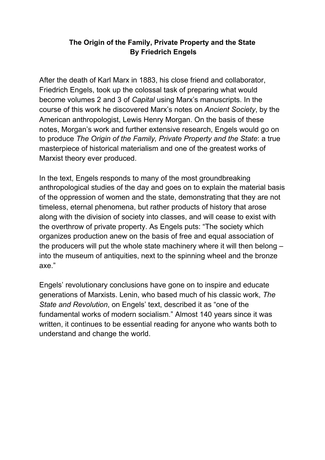# **The Origin of the Family, Private Property and the State By Friedrich Engels**

After the death of Karl Marx in 1883, his close friend and collaborator, Friedrich Engels, took up the colossal task of preparing what would become volumes 2 and 3 of *Capital* using Marx's manuscripts. In the course of this work he discovered Marx's notes on *Ancient Society*, by the American anthropologist, Lewis Henry Morgan. On the basis of these notes, Morgan's work and further extensive research, Engels would go on to produce *The Origin of the Family, Private Property and the State*: a true masterpiece of historical materialism and one of the greatest works of Marxist theory ever produced.

In the text, Engels responds to many of the most groundbreaking anthropological studies of the day and goes on to explain the material basis of the oppression of women and the state, demonstrating that they are not timeless, eternal phenomena, but rather products of history that arose along with the division of society into classes, and will cease to exist with the overthrow of private property. As Engels puts: "The society which organizes production anew on the basis of free and equal association of the producers will put the whole state machinery where it will then belong – into the museum of antiquities, next to the spinning wheel and the bronze axe."

Engels' revolutionary conclusions have gone on to inspire and educate generations of Marxists. Lenin, who based much of his classic work, *The State and Revolution*, on Engels' text, described it as "one of the fundamental works of modern socialism." Almost 140 years since it was written, it continues to be essential reading for anyone who wants both to understand and change the world.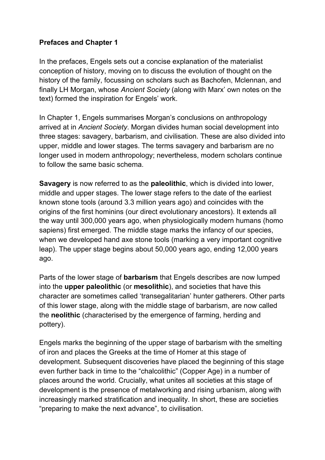### **Prefaces and Chapter 1**

In the prefaces, Engels sets out a concise explanation of the materialist conception of history, moving on to discuss the evolution of thought on the history of the family, focussing on scholars such as Bachofen, Mclennan, and finally LH Morgan, whose *Ancient Society* (along with Marx' own notes on the text) formed the inspiration for Engels' work.

In Chapter 1, Engels summarises Morgan's conclusions on anthropology arrived at in *Ancient Society*. Morgan divides human social development into three stages: savagery, barbarism, and civilisation. These are also divided into upper, middle and lower stages. The terms savagery and barbarism are no longer used in modern anthropology; nevertheless, modern scholars continue to follow the same basic schema.

**Savagery** is now referred to as the **paleolithic**, which is divided into lower, middle and upper stages. The lower stage refers to the date of the earliest known stone tools (around 3.3 million years ago) and coincides with the origins of the first hominins (our direct evolutionary ancestors). It extends all the way until 300,000 years ago, when physiologically modern humans (homo sapiens) first emerged. The middle stage marks the infancy of our species, when we developed hand axe stone tools (marking a very important cognitive leap). The upper stage begins about 50,000 years ago, ending 12,000 years ago.

Parts of the lower stage of **barbarism** that Engels describes are now lumped into the **upper paleolithic** (or **mesolithic**), and societies that have this character are sometimes called 'transegalitarian' hunter gatherers. Other parts of this lower stage, along with the middle stage of barbarism, are now called the **neolithic** (characterised by the emergence of farming, herding and pottery).

Engels marks the beginning of the upper stage of barbarism with the smelting of iron and places the Greeks at the time of Homer at this stage of development. Subsequent discoveries have placed the beginning of this stage even further back in time to the "chalcolithic" (Copper Age) in a number of places around the world. Crucially, what unites all societies at this stage of development is the presence of metalworking and rising urbanism, along with increasingly marked stratification and inequality. In short, these are societies "preparing to make the next advance", to civilisation.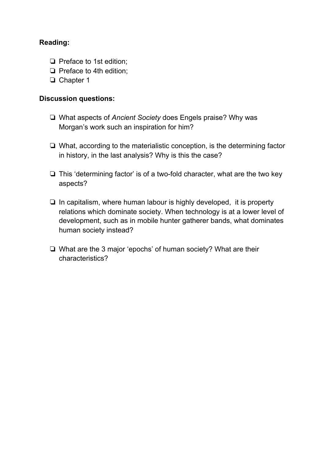## **Reading:**

- ❏ Preface to 1st edition;
- ❏ Preface to 4th edition;
- ❏ Chapter 1

### **Discussion questions:**

- ❏ What aspects of *Ancient Society* does Engels praise? Why was Morgan's work such an inspiration for him?
- ❏ What, according to the materialistic conception, is the determining factor in history, in the last analysis? Why is this the case?
- ❏ This 'determining factor' is of a two-fold character, what are the two key aspects?
- ❏ In capitalism, where human labour is highly developed, it is property relations which dominate society. When technology is at a lower level of development, such as in mobile hunter gatherer bands, what dominates human society instead?
- ❏ What are the 3 major 'epochs' of human society? What are their characteristics?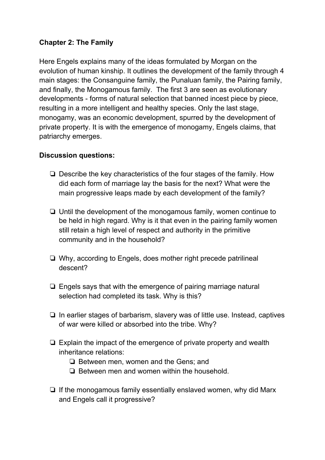# **Chapter 2: The Family**

Here Engels explains many of the ideas formulated by Morgan on the evolution of human kinship. It outlines the development of the family through 4 main stages: the Consanguine family, the Punaluan family, the Pairing family, and finally, the Monogamous family. The first 3 are seen as evolutionary developments - forms of natural selection that banned incest piece by piece, resulting in a more intelligent and healthy species. Only the last stage, monogamy, was an economic development, spurred by the development of private property. It is with the emergence of monogamy, Engels claims, that patriarchy emerges.

### **Discussion questions:**

- ❏ Describe the key characteristics of the four stages of the family. How did each form of marriage lay the basis for the next? What were the main progressive leaps made by each development of the family?
- ❏ Until the development of the monogamous family, women continue to be held in high regard. Why is it that even in the pairing family women still retain a high level of respect and authority in the primitive community and in the household?
- ❏ Why, according to Engels, does mother right precede patrilineal descent?
- ❏ Engels says that with the emergence of pairing marriage natural selection had completed its task. Why is this?
- ❏ In earlier stages of barbarism, slavery was of little use. Instead, captives of war were killed or absorbed into the tribe. Why?
- ❏ Explain the impact of the emergence of private property and wealth inheritance relations:
	- ❏ Between men, women and the Gens; and
	- ❏ Between men and women within the household.
- ❏ If the monogamous family essentially enslaved women, why did Marx and Engels call it progressive?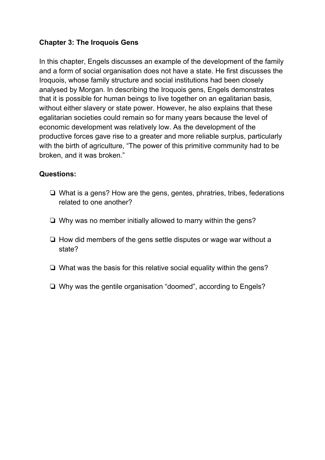# **Chapter 3: The Iroquois Gens**

In this chapter, Engels discusses an example of the development of the family and a form of social organisation does not have a state. He first discusses the Iroquois, whose family structure and social institutions had been closely analysed by Morgan. In describing the Iroquois gens, Engels demonstrates that it is possible for human beings to live together on an egalitarian basis, without either slavery or state power. However, he also explains that these egalitarian societies could remain so for many years because the level of economic development was relatively low. As the development of the productive forces gave rise to a greater and more reliable surplus, particularly with the birth of agriculture, "The power of this primitive community had to be broken, and it was broken."

### **Questions:**

- ❏ What is a gens? How are the gens, gentes, phratries, tribes, federations related to one another?
- ❏ Why was no member initially allowed to marry within the gens?
- ❏ How did members of the gens settle disputes or wage war without a state?
- ❏ What was the basis for this relative social equality within the gens?
- ❏ Why was the gentile organisation "doomed", according to Engels?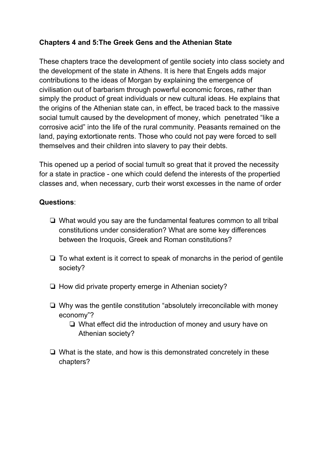# **Chapters 4 and 5:The Greek Gens and the Athenian State**

These chapters trace the development of gentile society into class society and the development of the state in Athens. It is here that Engels adds major contributions to the ideas of Morgan by explaining the emergence of civilisation out of barbarism through powerful economic forces, rather than simply the product of great individuals or new cultural ideas. He explains that the origins of the Athenian state can, in effect, be traced back to the massive social tumult caused by the development of money, which penetrated "like a corrosive acid" into the life of the rural community. Peasants remained on the land, paying extortionate rents. Those who could not pay were forced to sell themselves and their children into slavery to pay their debts.

This opened up a period of social tumult so great that it proved the necessity for a state in practice - one which could defend the interests of the propertied classes and, when necessary, curb their worst excesses in the name of order

### **Questions**:

- ❏ What would you say are the fundamental features common to all tribal constitutions under consideration? What are some key differences between the Iroquois, Greek and Roman constitutions?
- ❏ To what extent is it correct to speak of monarchs in the period of gentile society?
- ❏ How did private property emerge in Athenian society?
- ❏ Why was the gentile constitution "absolutely irreconcilable with money economy"?
	- ❏ What effect did the introduction of money and usury have on Athenian society?
- ❏ What is the state, and how is this demonstrated concretely in these chapters?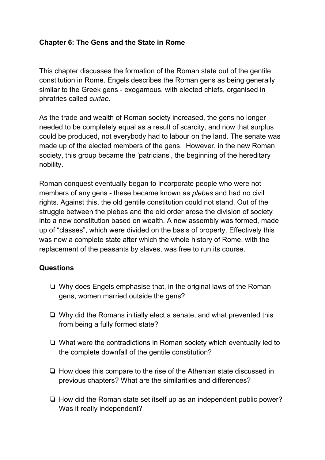### **Chapter 6: The Gens and the State in Rome**

This chapter discusses the formation of the Roman state out of the gentile constitution in Rome. Engels describes the Roman gens as being generally similar to the Greek gens - exogamous, with elected chiefs, organised in phratries called *curiae*.

As the trade and wealth of Roman society increased, the gens no longer needed to be completely equal as a result of scarcity, and now that surplus could be produced, not everybody had to labour on the land. The senate was made up of the elected members of the gens. However, in the new Roman society, this group became the 'patricians', the beginning of the hereditary nobility.

Roman conquest eventually began to incorporate people who were not members of any gens - these became known as *plebes* and had no civil rights. Against this, the old gentile constitution could not stand. Out of the struggle between the plebes and the old order arose the division of society into a new constitution based on wealth. A new assembly was formed, made up of "classes", which were divided on the basis of property. Effectively this was now a complete state after which the whole history of Rome, with the replacement of the peasants by slaves, was free to run its course.

### **Questions**

- ❏ Why does Engels emphasise that, in the original laws of the Roman gens, women married outside the gens?
- ❏ Why did the Romans initially elect a senate, and what prevented this from being a fully formed state?
- ❏ What were the contradictions in Roman society which eventually led to the complete downfall of the gentile constitution?
- ❏ How does this compare to the rise of the Athenian state discussed in previous chapters? What are the similarities and differences?
- ❏ How did the Roman state set itself up as an independent public power? Was it really independent?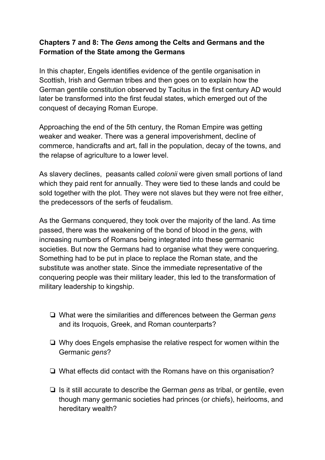# **Chapters 7 and 8: The** *Gens* **among the Celts and Germans and the Formation of the State among the Germans**

In this chapter, Engels identifies evidence of the gentile organisation in Scottish, Irish and German tribes and then goes on to explain how the German gentile constitution observed by Tacitus in the first century AD would later be transformed into the first feudal states, which emerged out of the conquest of decaying Roman Europe.

Approaching the end of the 5th century, the Roman Empire was getting weaker and weaker. There was a general impoverishment, decline of commerce, handicrafts and art, fall in the population, decay of the towns, and the relapse of agriculture to a lower level.

As slavery declines, peasants called *colonii* were given small portions of land which they paid rent for annually. They were tied to these lands and could be sold together with the plot. They were not slaves but they were not free either, the predecessors of the serfs of feudalism.

As the Germans conquered, they took over the majority of the land. As time passed, there was the weakening of the bond of blood in the *gens*, with increasing numbers of Romans being integrated into these germanic societies. But now the Germans had to organise what they were conquering. Something had to be put in place to replace the Roman state, and the substitute was another state. Since the immediate representative of the conquering people was their military leader, this led to the transformation of military leadership to kingship.

- ❏ What were the similarities and differences between the German *gens* and its Iroquois, Greek, and Roman counterparts?
- ❏ Why does Engels emphasise the relative respect for women within the Germanic *gens*?
- ❏ What effects did contact with the Romans have on this organisation?
- ❏ Is it still accurate to describe the German *gens* as tribal, or gentile, even though many germanic societies had princes (or chiefs), heirlooms, and hereditary wealth?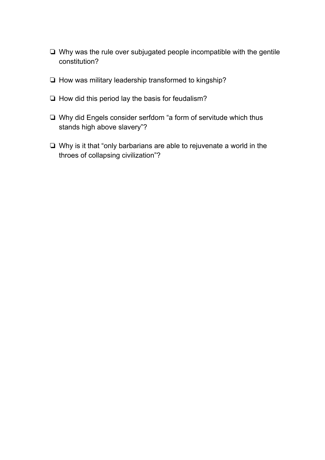- ❏ Why was the rule over subjugated people incompatible with the gentile constitution?
- ❏ How was military leadership transformed to kingship?
- ❏ How did this period lay the basis for feudalism?
- ❏ Why did Engels consider serfdom "a form of servitude which thus stands high above slavery"?
- ❏ Why is it that "only barbarians are able to rejuvenate a world in the throes of collapsing civilization"?